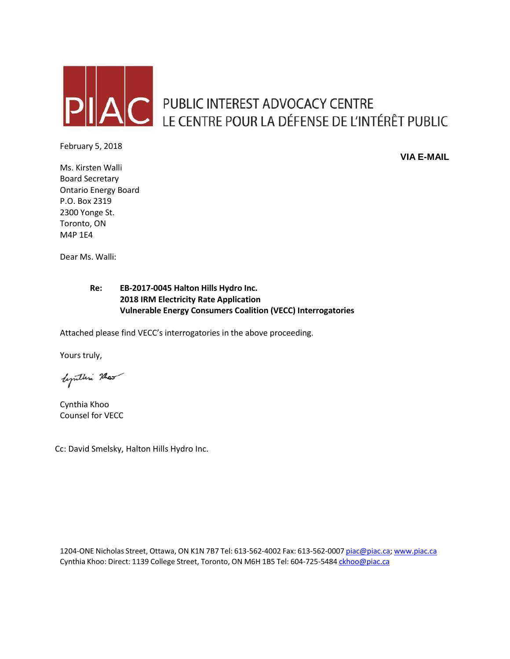

# AC PUBLIC INTEREST ADVOCACY CENTRE<br>LE CENTRE POUR LA DÉFENSE DE L'INTÉRÊT PUBLIC

February 5, 2018

**VIA E-MAIL**

Ms. Kirsten Walli Board Secretary Ontario Energy Board P.O. Box 2319 2300 Yonge St. Toronto, ON M4P 1E4

Dear Ms. Walli:

## **Re: EB-2017-0045 Halton Hills Hydro Inc. 2018 IRM Electricity Rate Application Vulnerable Energy Consumers Coalition (VECC) Interrogatories**

Attached please find VECC's interrogatories in the above proceeding.

Yours truly,

lymthia Mas

Cynthia Khoo Counsel for VECC

Cc: David Smelsky, Halton Hills Hydro Inc.

1204-ONE Nicholas Street, Ottawa, ON K1N 7B7 Tel: 613-562-4002 Fax: 613-562-0007 [piac@piac.ca;](mailto:piac@piac.ca) [www.piac.ca](http://www.piac.ca/) Cynthia Khoo: Direct: 1139 College Street, Toronto, ON M6H 1B5 Tel: 604-725-5484 [ckhoo@piac.ca](mailto:ckhoo@piac.ca)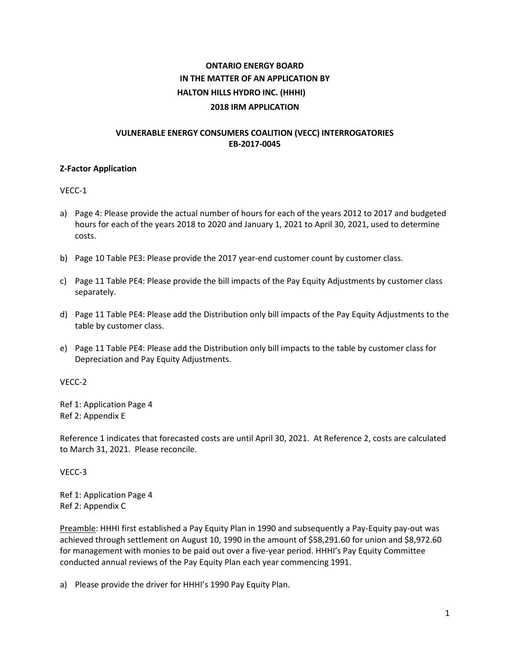# **ONTARIO ENERGY BOARD IN THE MATTER OF AN APPLICATION BY HALTON HILLS HYDRO INC. (HHHI) 2018 IRM APPLICATION**

#### **VULNERABLE ENERGY CONSUMERS COALITION (VECC) INTERROGATORIES EB-2017-0045**

#### **Z-Factor Application**

VECC-1

- a) Page 4: Please provide the actual number of hours for each of the years 2012 to 2017 and budgeted hours for each of the years 2018 to 2020 and January 1, 2021 to April 30, 2021, used to determine costs.
- b) Page 10 Table PE3: Please provide the 2017 year-end customer count by customer class.
- c) Page 11 Table PE4: Please provide the bill impacts of the Pay Equity Adjustments by customer class separately.
- d) Page 11 Table PE4: Please add the Distribution only bill impacts of the Pay Equity Adjustments to the table by customer class.
- e) Page 11 Table PE4: Please add the Distribution only bill impacts to the table by customer class for Depreciation and Pay Equity Adjustments.

VECC-2

Ref 1: Application Page 4 Ref 2: Appendix E

Reference 1 indicates that forecasted costs are until April 30, 2021. At Reference 2, costs are calculated to March 31, 2021. Please reconcile.

VECC-3

Ref 1: Application Page 4 Ref 2: Appendix C

Preamble: HHHI first established a Pay Equity Plan in 1990 and subsequently a Pay-Equity pay-out was achieved through settlement on August 10, 1990 in the amount of \$58,291.60 for union and \$8,972.60 for management with monies to be paid out over a five-year period. HHHI's Pay Equity Committee conducted annual reviews of the Pay Equity Plan each year commencing 1991.

a) Please provide the driver for HHHI's 1990 Pay Equity Plan.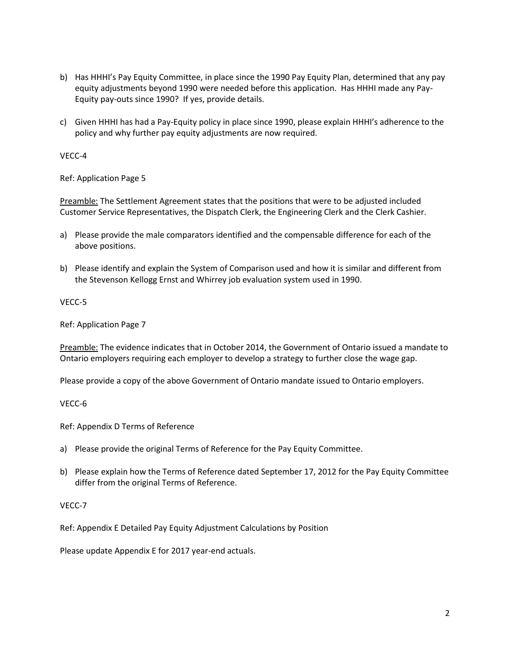- b) Has HHHI's Pay Equity Committee, in place since the 1990 Pay Equity Plan, determined that any pay equity adjustments beyond 1990 were needed before this application. Has HHHI made any Pay-Equity pay-outs since 1990? If yes, provide details.
- c) Given HHHI has had a Pay-Equity policy in place since 1990, please explain HHHI's adherence to the policy and why further pay equity adjustments are now required.

VECC-4

Ref: Application Page 5

Preamble: The Settlement Agreement states that the positions that were to be adjusted included Customer Service Representatives, the Dispatch Clerk, the Engineering Clerk and the Clerk Cashier.

- a) Please provide the male comparators identified and the compensable difference for each of the above positions.
- b) Please identify and explain the System of Comparison used and how it is similar and different from the Stevenson Kellogg Ernst and Whirrey job evaluation system used in 1990.

VECC-5

Ref: Application Page 7

Preamble: The evidence indicates that in October 2014, the Government of Ontario issued a mandate to Ontario employers requiring each employer to develop a strategy to further close the wage gap.

Please provide a copy of the above Government of Ontario mandate issued to Ontario employers.

VECC-6

Ref: Appendix D Terms of Reference

- a) Please provide the original Terms of Reference for the Pay Equity Committee.
- b) Please explain how the Terms of Reference dated September 17, 2012 for the Pay Equity Committee differ from the original Terms of Reference.

### VECC-7

Ref: Appendix E Detailed Pay Equity Adjustment Calculations by Position

Please update Appendix E for 2017 year-end actuals.